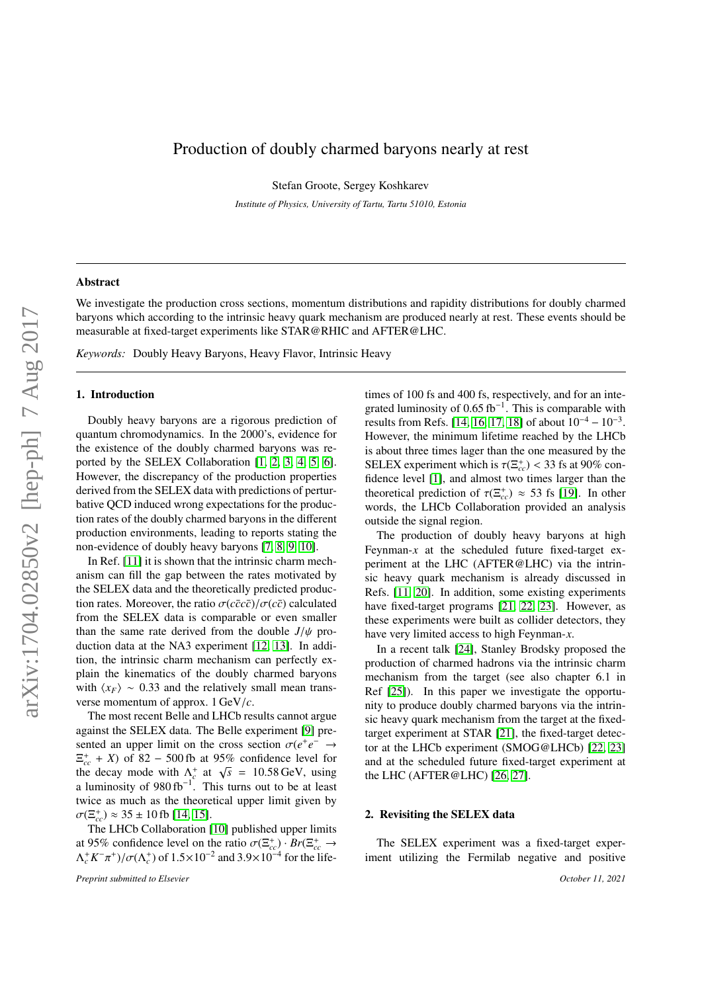# Production of doubly charmed baryons nearly at rest

Stefan Groote, Sergey Koshkarev

*Institute of Physics, University of Tartu, Tartu 51010, Estonia*

#### Abstract

We investigate the production cross sections, momentum distributions and rapidity distributions for doubly charmed baryons which according to the intrinsic heavy quark mechanism are produced nearly at rest. These events should be measurable at fixed-target experiments like STAR@RHIC and AFTER@LHC.

*Keywords:* Doubly Heavy Baryons, Heavy Flavor, Intrinsic Heavy

#### 1. Introduction

Doubly heavy baryons are a rigorous prediction of quantum chromodynamics. In the 2000's, evidence for the existence of the doubly charmed baryons was reported by the SELEX Collaboration [\[1,](#page-3-0) [2,](#page-3-1) [3,](#page-3-2) [4,](#page-3-3) [5,](#page-3-4) [6\]](#page-3-5). However, the discrepancy of the production properties derived from the SELEX data with predictions of perturbative QCD induced wrong expectations for the production rates of the doubly charmed baryons in the different production environments, leading to reports stating the non-evidence of doubly heavy baryons [\[7,](#page-3-6) [8,](#page-3-7) [9,](#page-3-8) [10\]](#page-3-9).

In Ref. [\[11\]](#page-3-10) it is shown that the intrinsic charm mechanism can fill the gap between the rates motivated by the SELEX data and the theoretically predicted production rates. Moreover, the ratio  $\sigma(c\bar{c}c\bar{c})/\sigma(c\bar{c})$  calculated from the SELEX data is comparable or even smaller than the same rate derived from the double  $J/\psi$  production data at the NA3 experiment [\[12,](#page-3-11) [13\]](#page-3-12). In addition, the intrinsic charm mechanism can perfectly explain the kinematics of the doubly charmed baryons with  $\langle x_F \rangle \sim 0.33$  and the relatively small mean transverse momentum of approx. 1 GeV/*c*.

The most recent Belle and LHCb results cannot argue against the SELEX data. The Belle experiment [\[9\]](#page-3-8) presented an upper limit on the cross section  $\sigma(e^+e^- \rightarrow \pi^+ + K)$  of 82 – 500 fb at 95% confidence level for  $\Xi_{cc}^{+}$  + *X*) of 82 – 500 fb at 95% confidence level for  $\frac{\epsilon_{cc} + \lambda}{\epsilon_0}$  or  $\frac{\delta 2 - 300 \text{ to at } 95\% \text{ confidence level for}}{\lambda_c^+ \text{ at } \sqrt{s}} = 10.58 \text{ GeV}, \text{ using a luminosity of } 980 \text{ fb}^{-1}.$  This turns out to be at least twice as much as the theoretical upper limit given by  $\sigma(\Xi_{cc}^{+}) \approx 35 \pm 10 \text{ fb}$  [\[14,](#page-3-13) [15\]](#page-3-14).<br>The LHCb Collaboration [

The LHCb Collaboration [\[10\]](#page-3-9) published upper limits at 95% confidence level on the ratio  $\sigma(\Xi_{cc}^+)\cdot Br(\Xi_{cc}^+ \to \Lambda^+ K^- \pi^+) / \sigma(\Lambda^+)$  of  $1.5 \times 10^{-2}$  and  $3.9 \times 10^{-4}$  for the life- $\Lambda_c^+ K^-$ <sup>+</sup>)/ $\sigma(\Lambda_c^+)$  of  $1.5 \times 10^{-2}$  and  $3.9 \times 10^{-4}$  for the lifetimes of 100 fs and 400 fs, respectively, and for an integrated luminosity of 0.65 fb<sup>-1</sup>. This is comparable with results from Refs 114, 16, 17, 181 of about  $10^{-4} - 10^{-3}$ results from Refs. [\[14,](#page-3-13) [16,](#page-4-0) [17,](#page-4-1) [18\]](#page-4-2) of about  $10^{-4} - 10^{-3}$ . However, the minimum lifetime reached by the LHCb is about three times lager than the one measured by the SELEX experiment which is  $\tau(\Xi_{cc}^+)<$  33 fs at 90% con-<br>fidence level [1], and almost two times larger than the fidence level [\[1\]](#page-3-0), and almost two times larger than the theoretical prediction of  $\tau(\Xi_{cc}^+) \approx 53$  fs [\[19\]](#page-4-3). In other<br>words the LHCb Collaboration provided an analysis words, the LHCb Collaboration provided an analysis outside the signal region.

The production of doubly heavy baryons at high Feynman-*x* at the scheduled future fixed-target experiment at the LHC (AFTER@LHC) via the intrinsic heavy quark mechanism is already discussed in Refs. [\[11,](#page-3-10) [20\]](#page-4-4). In addition, some existing experiments have fixed-target programs [\[21,](#page-4-5) [22,](#page-4-6) [23\]](#page-4-7). However, as these experiments were built as collider detectors, they have very limited access to high Feynman-*x*.

In a recent talk [\[24\]](#page-4-8), Stanley Brodsky proposed the production of charmed hadrons via the intrinsic charm mechanism from the target (see also chapter 6.1 in Ref [\[25\]](#page-4-9)). In this paper we investigate the opportunity to produce doubly charmed baryons via the intrinsic heavy quark mechanism from the target at the fixedtarget experiment at STAR [\[21\]](#page-4-5), the fixed-target detector at the LHCb experiment (SMOG@LHCb) [\[22,](#page-4-6) [23\]](#page-4-7) and at the scheduled future fixed-target experiment at the LHC (AFTER@LHC) [\[26,](#page-4-10) [27\]](#page-4-11).

## <span id="page-0-0"></span>2. Revisiting the SELEX data

The SELEX experiment was a fixed-target experiment utilizing the Fermilab negative and positive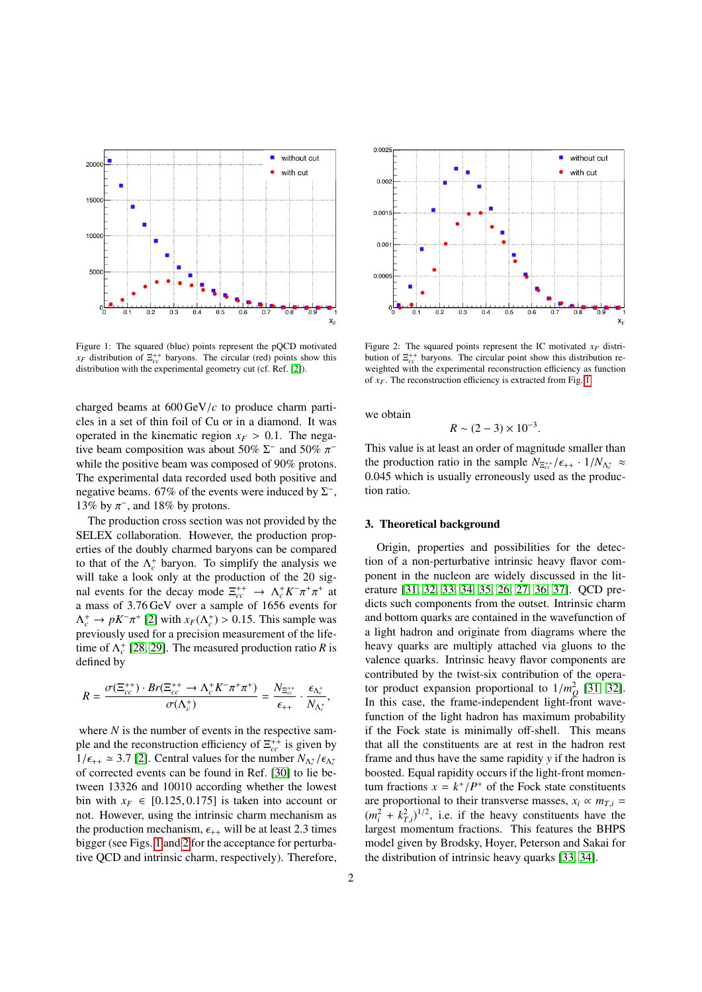

<span id="page-1-0"></span>Figure 1: The squared (blue) points represent the pQCD motivated  $x_F$  distribution of  $\Xi_{cc}^{++}$  baryons. The circular (red) points show this distribution with the experimental geometry cut (cf. Ref. [\[2\]](#page-3-1)).

charged beams at 600 GeV/*<sup>c</sup>* to produce charm particles in a set of thin foil of Cu or in a diamond. It was operated in the kinematic region  $x_F > 0.1$ . The negative beam composition was about 50%  $\Sigma^-$  and 50%  $\pi^-$ <br>while the positive beam was composed of 90% protons while the positive beam was composed of 90% protons. The experimental data recorded used both positive and negative beams. 67% of the events were induced by  $\Sigma^-$ , 13% by  $\pi^-$ , and 18% by protons.<br>The production cross section w

The production cross section was not provided by the SELEX collaboration. However, the production properties of the doubly charmed baryons can be compared to that of the  $\Lambda_c^+$  baryon. To simplify the analysis we will take a look only at the production of the 20 signal events for the decay mode  $\Xi_{cc}^{++} \to \Lambda_c^+ K^- \pi^+ \pi^+$  at a mass of 3.76 GeV over a sample of 1656 events for<br> $A^+ \rightarrow nK^-\pi^+$  [2] with  $r_P(A^+) > 0.15$  This sample was  $\Lambda_c^+ \to pK^-\pi^+$  [\[2\]](#page-3-1) with  $x_F(\Lambda_c^+) > 0.15$ . This sample was previously used for a precision measurement of the lifepreviously used for a precision measurement of the lifetime of  $\Lambda_c^+$  [\[28,](#page-4-12) [29\]](#page-4-13). The measured production ratio *R* is defined by

$$
R = \frac{\sigma(\Xi_{cc}^{++})\cdot Br(\Xi_{cc}^{++} \to \Lambda_c^+ K^- \pi^+ \pi^+)}{\sigma(\Lambda_c^+)} = \frac{N_{\Xi_{cc}^{++}}}{\epsilon_{++}} \cdot \frac{\epsilon_{\Lambda_c^+}}{N_{\Lambda_c^+}},
$$

where  $N$  is the number of events in the respective sample and the reconstruction efficiency of  $\Xi_{cc}^{++}$  is given by  $1/\epsilon_{++} \approx 3.7$  [\[2\]](#page-3-1). Central values for the number  $N_{\Lambda_c^+}/\epsilon_{\Lambda_c^+}$ <br>of corrected events can be found in Ref. [30] to lie beof corrected events can be found in Ref. [\[30\]](#page-4-14) to lie between 13326 and 10010 according whether the lowest bin with  $x_F \in [0.125, 0.175]$  is taken into account or not. However, using the intrinsic charm mechanism as the production mechanism,  $\epsilon_{++}$  will be at least 2.3 times bigger (see Figs. [1](#page-1-0) and [2](#page-1-1) for the acceptance for perturbative QCD and intrinsic charm, respectively). Therefore,



<span id="page-1-1"></span>Figure 2: The squared points represent the IC motivated  $x_F$  distribution of  $\Xi_{cc}^{++}$  baryons. The circular point show this distribution reweighted with the experimental reconstruction efficiency as function of *xF*. The reconstruction efficiency is extracted from Fig. [1.](#page-1-0)

we obtain

$$
R\sim(2-3)\times10^{-3}
$$

This value is at least an order of magnitude smaller than the production ratio in the sample  $N_{\Xi_{cc}^{++}}/\epsilon_{++} \cdot 1/N_{\Lambda_c^+} \approx 0.045$  which is usually erroneously used as the produc-<sup>0</sup>.045 which is usually erroneously used as the production ratio.

## 3. Theoretical background

Origin, properties and possibilities for the detection of a non-perturbative intrinsic heavy flavor component in the nucleon are widely discussed in the literature [\[31,](#page-4-15) [32,](#page-4-16) [33,](#page-4-17) [34,](#page-4-18) [35,](#page-4-19) [26,](#page-4-10) [27,](#page-4-11) [36,](#page-4-20) [37\]](#page-4-21). QCD predicts such components from the outset. Intrinsic charm and bottom quarks are contained in the wavefunction of a light hadron and originate from diagrams where the heavy quarks are multiply attached via gluons to the valence quarks. Intrinsic heavy flavor components are contributed by the twist-six contribution of the operator product expansion proportional to  $1/m_Q^2$  [\[31,](#page-4-15) [32\]](#page-4-16).<br>In this case, the frame-independent light-front wave-In this case, the frame-independent light-front wavefunction of the light hadron has maximum probability if the Fock state is minimally off-shell. This means that all the constituents are at rest in the hadron rest frame and thus have the same rapidity *y* if the hadron is boosted. Equal rapidity occurs if the light-front momentum fractions  $x = k^+/P^+$  of the Fock state constituents<br>are proportional to their transverse masses  $x_i \propto m_{\pi i}$ . are proportional to their transverse masses,  $x_i \propto m_{T,i}$  $(m_i^2 + k_{T,i}^2)^{1/2}$ , i.e. if the heavy constituents have the *T*,*i* largest momentum fractions. This features the BHPS model given by Brodsky, Hoyer, Peterson and Sakai for the distribution of intrinsic heavy quarks [\[33,](#page-4-17) [34\]](#page-4-18).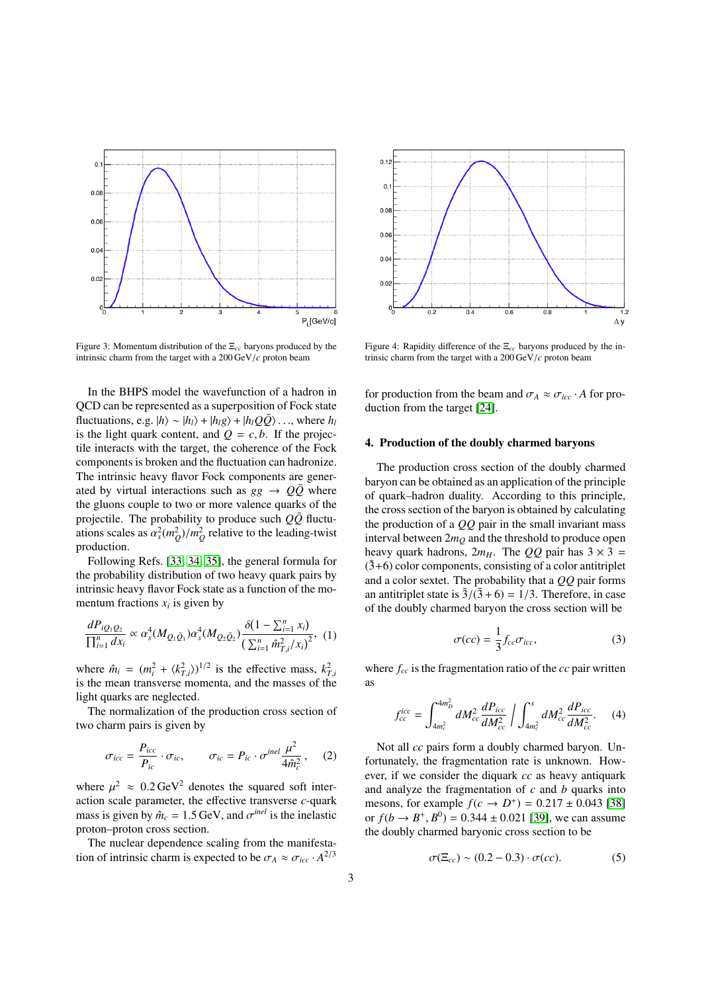

<span id="page-2-4"></span>Figure 3: Momentum distribution of the Ξ*cc* baryons produced by the intrinsic charm from the target with a 200 GeV/*<sup>c</sup>* proton beam

In the BHPS model the wavefunction of a hadron in QCD can be represented as a superposition of Fock state fluctuations, e.g.  $|h\rangle \sim |h_1\rangle + |h_1g\rangle + |h_1Q\overline{Q}\rangle$ ..., where  $h_l$ is the light quark content, and  $Q = c, b$ . If the projectile interacts with the target, the coherence of the Fock components is broken and the fluctuation can hadronize. The intrinsic heavy flavor Fock components are generated by virtual interactions such as  $gg \rightarrow Q\bar{Q}$  where the gluons couple to two or more valence quarks of the projectile. The probability to produce such  $Q\bar{Q}$  fluctuations scales as  $\alpha_s^2(m_Q^2)/m_Q^2$  relative to the leading-twist production.

Following Refs. [\[33,](#page-4-17) [34,](#page-4-18) [35\]](#page-4-19), the general formula for the probability distribution of two heavy quark pairs by intrinsic heavy flavor Fock state as a function of the momentum fractions  $x_i$  is given by

<span id="page-2-3"></span>
$$
\frac{dP_{iQ_1Q_2}}{\prod_{i=1}^n dx_i} \propto \alpha_s^4 (M_{Q_1\bar{Q}_1}) \alpha_s^4 (M_{Q_2\bar{Q}_2}) \frac{\delta(1-\sum_{i=1}^n x_i)}{(\sum_{i=1}^n \hat{m}_{T,i}^2/x_i)^2},
$$
 (1)

where  $\hat{m}_i = (m_i^2 + \langle k_{T,i}^2 \rangle)^{1/2}$  is the effective mass,  $k_T^2$ is the mean transverse momenta, and the masses of the light quarks are neglected.

The normalization of the production cross section of two charm pairs is given by

<span id="page-2-0"></span>
$$
\sigma_{icc} = \frac{P_{icc}}{P_{ic}} \cdot \sigma_{ic}, \qquad \sigma_{ic} = P_{ic} \cdot \sigma^{inel} \frac{\mu^2}{4 \hat{m}_c^2}, \qquad (2)
$$

where  $\mu^2 \approx 0.2 \text{ GeV}^2$  denotes the squared soft inter-<br>action scale parameter, the effective transverse c-quark action scale parameter, the effective transverse *c*-quark mass is given by  $\hat{m}_c = 1.5 \text{ GeV}$ , and  $\sigma^{inel}$  is the inelastic<br>proton–proton cross section proton–proton cross section.

The nuclear dependence scaling from the manifestation of intrinsic charm is expected to be  $\sigma_A \approx \sigma_{icc} \cdot A^{2/3}$ 



<span id="page-2-5"></span>Figure 4: Rapidity difference of the Ξ*cc* baryons produced by the intrinsic charm from the target with a 200 GeV/*<sup>c</sup>* proton beam

for production from the beam and  $\sigma_A \approx \sigma_{icc} \cdot A$  for production from the target [\[24\]](#page-4-8).

# 4. Production of the doubly charmed baryons

The production cross section of the doubly charmed baryon can be obtained as an application of the principle of quark–hadron duality. According to this principle, the cross section of the baryon is obtained by calculating the production of a *QQ* pair in the small invariant mass interval between  $2m<sub>O</sub>$  and the threshold to produce open heavy quark hadrons,  $2m<sub>H</sub>$ . The *OO* pair has  $3 \times 3 =$  $(3+6)$  color components, consisting of a color antitriplet and a color sextet. The probability that a *QQ* pair forms an antitriplet state is  $\overline{3}/(\overline{3}+6) = 1/3$ . Therefore, in case of the doubly charmed baryon the cross section will be

<span id="page-2-1"></span>
$$
\sigma(cc) = \frac{1}{3} f_{cc} \sigma_{icc}, \tag{3}
$$

where *fcc* is the fragmentation ratio of the *cc* pair written as

<span id="page-2-2"></span>
$$
f_{cc}^{icc} = \int_{4m_c^2}^{4m_D^2} dM_{cc}^2 \frac{dP_{icc}}{dM_{cc}^2} / \int_{4m_c^2}^{s} dM_{cc}^2 \frac{dP_{icc}}{dM_{cc}^2}.
$$
 (4)

Not all *cc* pairs form a doubly charmed baryon. Unfortunately, the fragmentation rate is unknown. However, if we consider the diquark *cc* as heavy antiquark and analyze the fragmentation of *c* and *b* quarks into mesons, for example  $f(c \to D^+) = 0.217 \pm 0.043$  [\[38\]](#page-4-22)<br>or  $f(b \to B^+ B^0) = 0.344 \pm 0.021$  [39] we can assume or  $f(b \rightarrow B^+, B^0) = 0.344 \pm 0.021$  [\[39\]](#page-4-23), we can assume the doubly charmed baryonic cross section to be the doubly charmed baryonic cross section to be

$$
\sigma(\Xi_{cc}) \sim (0.2 - 0.3) \cdot \sigma(cc). \tag{5}
$$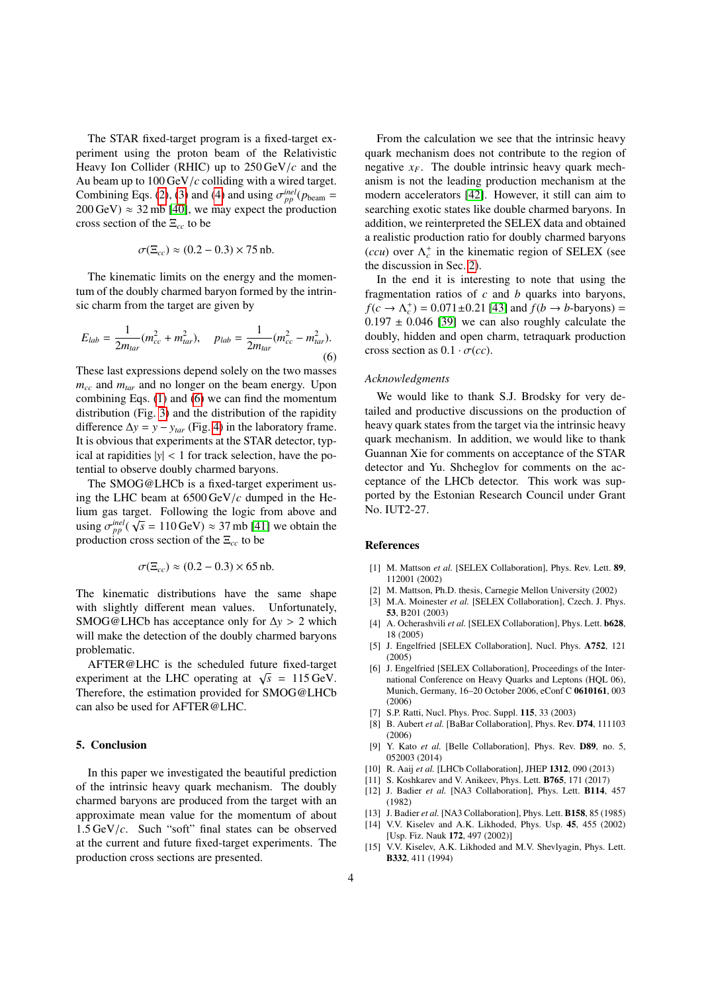The STAR fixed-target program is a fixed-target experiment using the proton beam of the Relativistic Heavy Ion Collider (RHIC) up to 250 GeV/*<sup>c</sup>* and the Au beam up to 100 GeV/*<sup>c</sup>* colliding with a wired target. Combining Eqs. [\(2\)](#page-2-0), [\(3\)](#page-2-1) and [\(4\)](#page-2-2) and using  $\sigma_{pp}^{inel}(p_{beam} = 200 \text{ GeV}) \approx 32 \text{ mb}$  [40] we may expect the production  $200 \,\text{GeV}$ )  $\approx 32 \,\text{mb}$  [\[40\]](#page-4-24), we may expect the production cross section of the Ξ*cc* to be

$$
\sigma(\Xi_{cc}) \approx (0.2 - 0.3) \times 75 \,\text{nb}.
$$

The kinematic limits on the energy and the momentum of the doubly charmed baryon formed by the intrinsic charm from the target are given by

<span id="page-3-15"></span>
$$
E_{lab} = \frac{1}{2m_{tar}}(m_{cc}^2 + m_{tar}^2), \quad p_{lab} = \frac{1}{2m_{tar}}(m_{cc}^2 - m_{tar}^2).
$$
\n(6)

These last expressions depend solely on the two masses *mcc* and *mtar* and no longer on the beam energy. Upon combining Eqs. [\(1\)](#page-2-3) and [\(6\)](#page-3-15) we can find the momentum distribution (Fig. [3\)](#page-2-4) and the distribution of the rapidity difference  $\Delta y = y - y_{tar}$  (Fig. [4\)](#page-2-5) in the laboratory frame. It is obvious that experiments at the STAR detector, typical at rapidities  $|y| < 1$  for track selection, have the potential to observe doubly charmed baryons.

The SMOG@LHCb is a fixed-target experiment using the LHC beam at 6500 GeV/*<sup>c</sup>* dumped in the Helium gas target. Following the logic from above and using  $\sigma_{pp}^{inel}(\sqrt{s} = 110 \,\text{GeV}) \approx 37 \,\text{mb}$  [\[41\]](#page-4-25) we obtain the production cross section of the  $\Xi$  to be production cross section of the Ξ*cc* to be

$$
\sigma(\Xi_{cc}) \approx (0.2 - 0.3) \times 65 \,\text{nb}.
$$

The kinematic distributions have the same shape with slightly different mean values. Unfortunately, SMOG@LHCb has acceptance only for <sup>∆</sup>*<sup>y</sup>* > 2 which will make the detection of the doubly charmed baryons problematic.

AFTER@LHC is the scheduled future fixed-target AFTER EXECT IS the scheduled future fixed-target<br>experiment at the LHC operating at  $\sqrt{s} = 115 \text{ GeV}$ . Therefore, the estimation provided for SMOG@LHCb can also be used for AFTER@LHC.

# 5. Conclusion

In this paper we investigated the beautiful prediction of the intrinsic heavy quark mechanism. The doubly charmed baryons are produced from the target with an approximate mean value for the momentum of about <sup>1</sup>.5 GeV/*c*. Such "soft" final states can be observed at the current and future fixed-target experiments. The production cross sections are presented.

From the calculation we see that the intrinsic heavy quark mechanism does not contribute to the region of negative  $x_F$ . The double intrinsic heavy quark mechanism is not the leading production mechanism at the modern accelerators [\[42\]](#page-4-26). However, it still can aim to searching exotic states like double charmed baryons. In addition, we reinterpreted the SELEX data and obtained a realistic production ratio for doubly charmed baryons (*ccu*) over  $\Lambda_c^+$  in the kinematic region of SELEX (see the discussion in Sec. [2\)](#page-0-0).

In the end it is interesting to note that using the fragmentation ratios of *c* and *b* quarks into baryons,  $f(c \rightarrow \Lambda_c^+) = 0.071 \pm 0.21$  [\[43\]](#page-4-27) and  $f(b \rightarrow b$ -baryons) = 0.197 + 0.046 [39] we can also roughly calculate the  $0.197 \pm 0.046$  [\[39\]](#page-4-23) we can also roughly calculate the doubly, hidden and open charm, tetraquark production cross section as  $0.1 \cdot \sigma(cc)$ .

### *Acknowledgments*

We would like to thank S.J. Brodsky for very detailed and productive discussions on the production of heavy quark states from the target via the intrinsic heavy quark mechanism. In addition, we would like to thank Guannan Xie for comments on acceptance of the STAR detector and Yu. Shcheglov for comments on the acceptance of the LHCb detector. This work was supported by the Estonian Research Council under Grant No. IUT2-27.

#### References

- <span id="page-3-0"></span>[1] M. Mattson *et al.* [SELEX Collaboration], Phys. Rev. Lett. 89, 112001 (2002)
- <span id="page-3-1"></span>[2] M. Mattson, Ph.D. thesis, Carnegie Mellon University (2002)
- <span id="page-3-2"></span>[3] M.A. Moinester *et al.* [SELEX Collaboration], Czech. J. Phys. 53, B201 (2003)
- <span id="page-3-3"></span>[4] A. Ocherashvili *et al.* [SELEX Collaboration], Phys. Lett. b628, 18 (2005)
- <span id="page-3-4"></span>[5] J. Engelfried [SELEX Collaboration], Nucl. Phys. A752, 121 (2005)
- <span id="page-3-5"></span>[6] J. Engelfried [SELEX Collaboration], Proceedings of the International Conference on Heavy Quarks and Leptons (HQL 06), Munich, Germany, 16–20 October 2006, eConf C 0610161, 003 (2006)
- <span id="page-3-6"></span>[7] S.P. Ratti, Nucl. Phys. Proc. Suppl. 115, 33 (2003)
- <span id="page-3-7"></span>[8] B. Aubert *et al.* [BaBar Collaboration], Phys. Rev. D74, 111103 (2006)
- <span id="page-3-8"></span>[9] Y. Kato *et al.* [Belle Collaboration], Phys. Rev. D89, no. 5, 052003 (2014)
- <span id="page-3-9"></span>[10] R. Aaij *et al.* [LHCb Collaboration], JHEP 1312, 090 (2013)
- <span id="page-3-10"></span>[11] S. Koshkarev and V. Anikeev, Phys. Lett. B765, 171 (2017)
- <span id="page-3-11"></span>[12] J. Badier *et al.* [NA3 Collaboration], Phys. Lett. B114, 457 (1982)
- <span id="page-3-12"></span>[13] J. Badier *et al.* [NA3 Collaboration], Phys. Lett. B158, 85 (1985)
- <span id="page-3-13"></span>[14] V.V. Kiselev and A.K. Likhoded, Phys. Usp. 45, 455 (2002) [Usp. Fiz. Nauk 172, 497 (2002)]
- <span id="page-3-14"></span>[15] V.V. Kiselev, A.K. Likhoded and M.V. Shevlyagin, Phys. Lett. B332, 411 (1994)